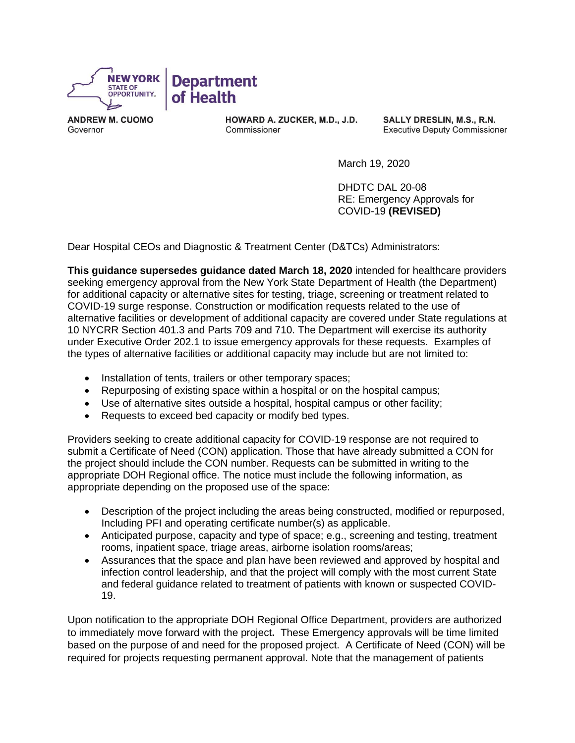

**ANDREW M. CUOMO** Governor

HOWARD A. ZUCKER, M.D., J.D. Commissioner

SALLY DRESLIN, M.S., R.N. **Executive Deputy Commissioner** 

March 19, 2020

DHDTC DAL 20-08 RE: Emergency Approvals for COVID-19 **(REVISED)**

Dear Hospital CEOs and Diagnostic & Treatment Center (D&TCs) Administrators:

**This guidance supersedes guidance dated March 18, 2020** intended for healthcare providers seeking emergency approval from the New York State Department of Health (the Department) for additional capacity or alternative sites for testing, triage, screening or treatment related to COVID-19 surge response. Construction or modification requests related to the use of alternative facilities or development of additional capacity are covered under State regulations at 10 NYCRR Section 401.3 and Parts 709 and 710. The Department will exercise its authority under Executive Order 202.1 to issue emergency approvals for these requests. Examples of the types of alternative facilities or additional capacity may include but are not limited to:

- Installation of tents, trailers or other temporary spaces;
- Repurposing of existing space within a hospital or on the hospital campus;
- Use of alternative sites outside a hospital, hospital campus or other facility;
- Requests to exceed bed capacity or modify bed types.

Providers seeking to create additional capacity for COVID-19 response are not required to submit a Certificate of Need (CON) application. Those that have already submitted a CON for the project should include the CON number. Requests can be submitted in writing to the appropriate DOH Regional office. The notice must include the following information, as appropriate depending on the proposed use of the space:

- Description of the project including the areas being constructed, modified or repurposed, Including PFI and operating certificate number(s) as applicable.
- Anticipated purpose, capacity and type of space; e.g., screening and testing, treatment rooms, inpatient space, triage areas, airborne isolation rooms/areas;
- Assurances that the space and plan have been reviewed and approved by hospital and infection control leadership, and that the project will comply with the most current State and federal guidance related to treatment of patients with known or suspected COVID-19.

Upon notification to the appropriate DOH Regional Office Department, providers are authorized to immediately move forward with the project**.** These Emergency approvals will be time limited based on the purpose of and need for the proposed project. A Certificate of Need (CON) will be required for projects requesting permanent approval. Note that the management of patients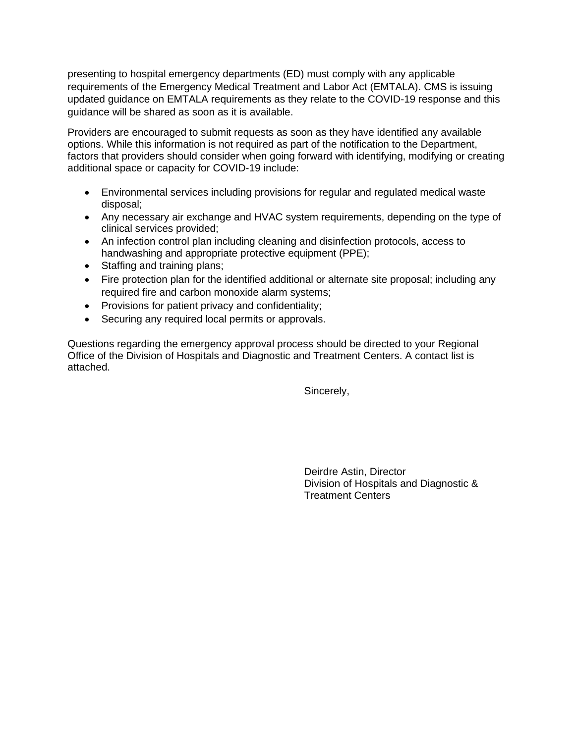presenting to hospital emergency departments (ED) must comply with any applicable requirements of the Emergency Medical Treatment and Labor Act (EMTALA). CMS is issuing updated guidance on EMTALA requirements as they relate to the COVID-19 response and this guidance will be shared as soon as it is available.

Providers are encouraged to submit requests as soon as they have identified any available options. While this information is not required as part of the notification to the Department, factors that providers should consider when going forward with identifying, modifying or creating additional space or capacity for COVID-19 include:

- Environmental services including provisions for regular and regulated medical waste disposal;
- Any necessary air exchange and HVAC system requirements, depending on the type of clinical services provided;
- An infection control plan including cleaning and disinfection protocols, access to handwashing and appropriate protective equipment (PPE);
- Staffing and training plans;
- Fire protection plan for the identified additional or alternate site proposal; including any required fire and carbon monoxide alarm systems;
- Provisions for patient privacy and confidentiality;
- Securing any required local permits or approvals.

Questions regarding the emergency approval process should be directed to your Regional Office of the Division of Hospitals and Diagnostic and Treatment Centers. A contact list is attached.

Sincerely,

Deirdre Astin, Director Division of Hospitals and Diagnostic & Treatment Centers